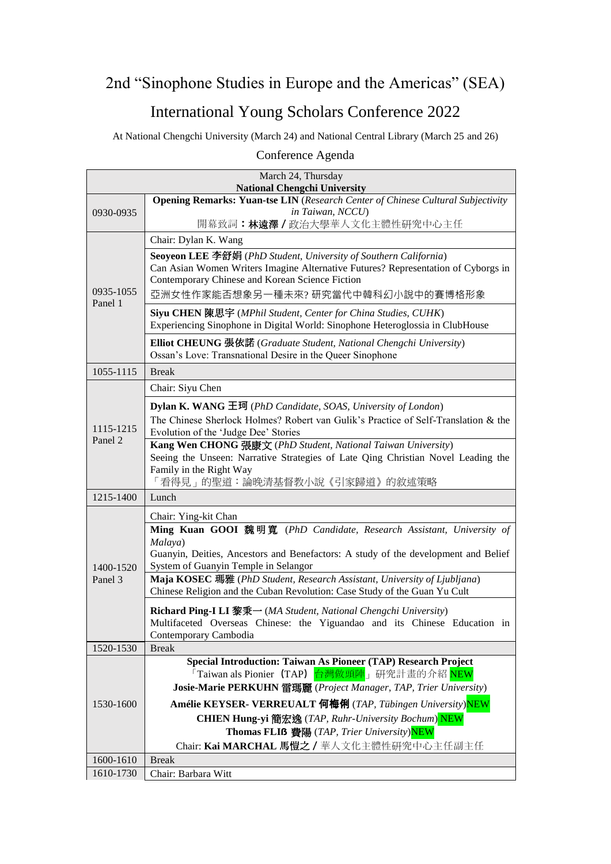## 2nd "Sinophone Studies in Europe and the Americas" (SEA) International Young Scholars Conference 2022

At National Chengchi University (March 24) and National Central Library (March 25 and 26)

## Conference Agenda

| March 24, Thursday                                                                                                            |                                                                                                                                                  |  |
|-------------------------------------------------------------------------------------------------------------------------------|--------------------------------------------------------------------------------------------------------------------------------------------------|--|
| <b>National Chengchi University</b><br><b>Opening Remarks: Yuan-tse LIN</b> (Research Center of Chinese Cultural Subjectivity |                                                                                                                                                  |  |
| 0930-0935                                                                                                                     | in Taiwan, NCCU)                                                                                                                                 |  |
|                                                                                                                               | 開幕致詞:林遠澤/政治大學華人文化主體性研究中心主任                                                                                                                       |  |
|                                                                                                                               | Chair: Dylan K. Wang                                                                                                                             |  |
|                                                                                                                               | Seoyeon LEE 李舒娟 (PhD Student, University of Southern California)                                                                                 |  |
|                                                                                                                               | Can Asian Women Writers Imagine Alternative Futures? Representation of Cyborgs in                                                                |  |
|                                                                                                                               | Contemporary Chinese and Korean Science Fiction                                                                                                  |  |
| 0935-1055<br>Panel 1                                                                                                          | 亞洲女性作家能否想象另一種未來? 研究當代中韓科幻小說中的賽博格形象                                                                                                               |  |
|                                                                                                                               | Siyu CHEN 陳思宇 (MPhil Student, Center for China Studies, CUHK)                                                                                    |  |
|                                                                                                                               | Experiencing Sinophone in Digital World: Sinophone Heteroglossia in ClubHouse                                                                    |  |
|                                                                                                                               | <b>Elliot CHEUNG 張依諾</b> (Graduate Student, National Chengchi University)                                                                        |  |
|                                                                                                                               | Ossan's Love: Transnational Desire in the Queer Sinophone                                                                                        |  |
| 1055-1115                                                                                                                     | <b>Break</b>                                                                                                                                     |  |
|                                                                                                                               | Chair: Siyu Chen                                                                                                                                 |  |
|                                                                                                                               | <b>Dylan K. WANG 王珂</b> ( <i>PhD Candidate, SOAS, University of London</i> )                                                                     |  |
| 1115-1215                                                                                                                     | The Chinese Sherlock Holmes? Robert van Gulik's Practice of Self-Translation & the                                                               |  |
| Panel 2                                                                                                                       | Evolution of the 'Judge Dee' Stories                                                                                                             |  |
|                                                                                                                               | Kang Wen CHONG 張康文 (PhD Student, National Taiwan University)<br>Seeing the Unseen: Narrative Strategies of Late Qing Christian Novel Leading the |  |
|                                                                                                                               | Family in the Right Way                                                                                                                          |  |
|                                                                                                                               | 「看得見」的聖道:論晚清基督教小說《引家歸道》的敘述策略                                                                                                                     |  |
| 1215-1400                                                                                                                     | Lunch                                                                                                                                            |  |
|                                                                                                                               | Chair: Ying-kit Chan                                                                                                                             |  |
|                                                                                                                               | Ming Kuan GOOI 魏明寬 (PhD Candidate, Research Assistant, University of                                                                             |  |
|                                                                                                                               | Malaya)                                                                                                                                          |  |
| 1400-1520<br>Panel 3                                                                                                          | Guanyin, Deities, Ancestors and Benefactors: A study of the development and Belief<br>System of Guanyin Temple in Selangor                       |  |
|                                                                                                                               | Maja KOSEC 瑪雅 (PhD Student, Research Assistant, University of Ljubljana)                                                                         |  |
|                                                                                                                               | Chinese Religion and the Cuban Revolution: Case Study of the Guan Yu Cult                                                                        |  |
|                                                                                                                               | <b>Richard Ping-I LI 黎秉一</b> (MA Student, National Chengchi University)                                                                          |  |
|                                                                                                                               | Multifaceted Overseas Chinese: the Yiguandao and its Chinese Education in                                                                        |  |
|                                                                                                                               | Contemporary Cambodia                                                                                                                            |  |
| 1520-1530                                                                                                                     | <b>Break</b>                                                                                                                                     |  |
| 1530-1600                                                                                                                     | Special Introduction: Taiwan As Pioneer (TAP) Research Project<br>「Taiwan als Pionier (TAP) <mark>台灣做頭陣</mark> 」研究計畫的介紹 <mark>NEW</mark>         |  |
|                                                                                                                               | Josie-Marie PERKUHN 雷瑪麗 (Project Manager, TAP, Trier University)                                                                                 |  |
|                                                                                                                               | Amélie KEYSER- VERREUALT 何梅俐 (TAP, Tübingen University)NEW                                                                                       |  |
|                                                                                                                               | CHIEN Hung-yi 簡宏逸 (TAP, Ruhr-University Bochum) NEW                                                                                              |  |
|                                                                                                                               | Thomas FLIß 費陽 (TAP, Trier University)NEW                                                                                                        |  |
|                                                                                                                               | Chair: Kai MARCHAL 馬愷之 / 華人文化主體性研究中心主任副主任                                                                                                        |  |
| 1600-1610                                                                                                                     | <b>Break</b>                                                                                                                                     |  |
| 1610-1730                                                                                                                     | Chair: Barbara Witt                                                                                                                              |  |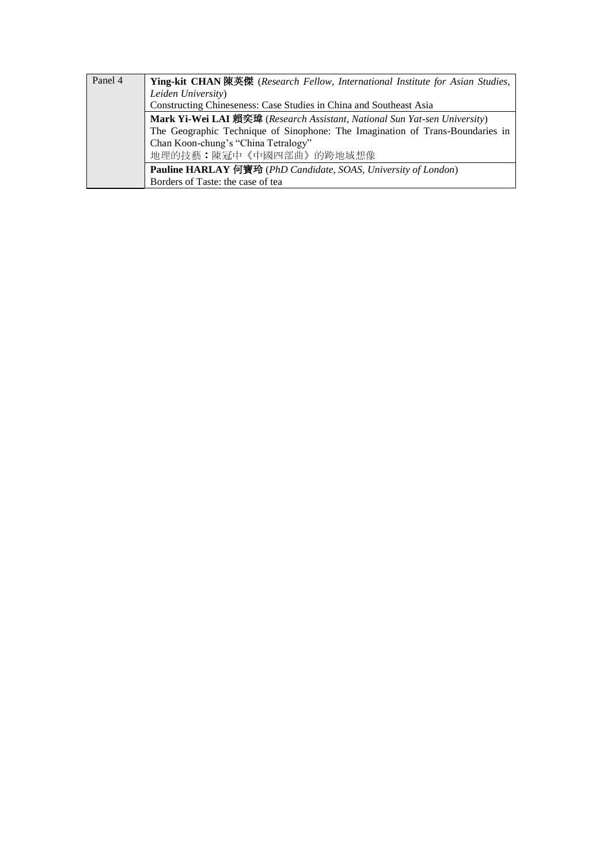| Panel 4 | Ying-kit CHAN 陳英傑 (Research Fellow, International Institute for Asian Studies, |
|---------|--------------------------------------------------------------------------------|
|         | Leiden University)                                                             |
|         | Constructing Chineseness: Case Studies in China and Southeast Asia             |
|         | Mark Yi-Wei LAI 賴奕瑋 (Research Assistant, National Sun Yat-sen University)      |
|         | The Geographic Technique of Sinophone: The Imagination of Trans-Boundaries in  |
|         | Chan Koon-chung's "China Tetralogy"                                            |
|         | 地理的技藝:陳冠中《中國四部曲》的跨地域想像                                                         |
|         | Pauline HARLAY 何寶玲 (PhD Candidate, SOAS, University of London)                 |
|         | Borders of Taste: the case of tea                                              |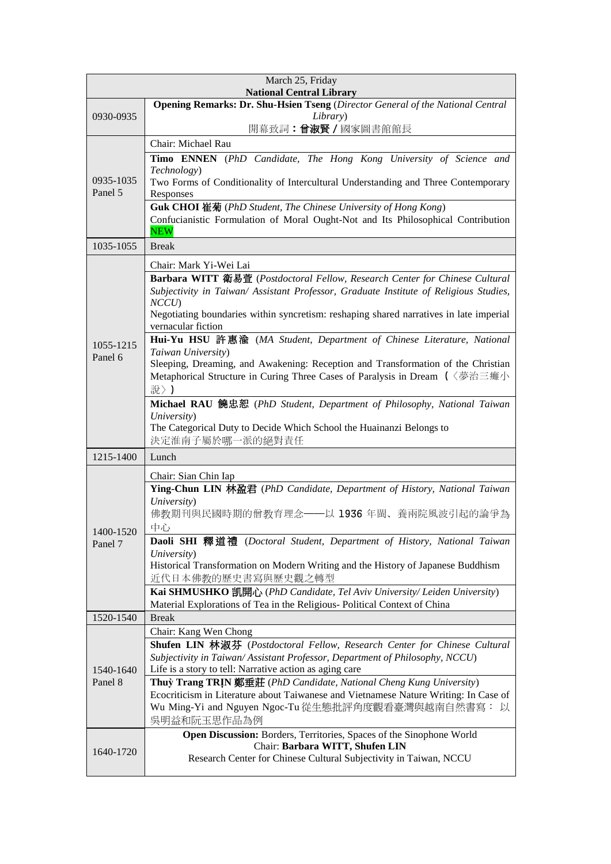| March 25, Friday<br><b>National Central Library</b>                            |                                                                                                                                                                              |  |
|--------------------------------------------------------------------------------|------------------------------------------------------------------------------------------------------------------------------------------------------------------------------|--|
| Opening Remarks: Dr. Shu-Hsien Tseng (Director General of the National Central |                                                                                                                                                                              |  |
| 0930-0935                                                                      | Library)                                                                                                                                                                     |  |
|                                                                                | 開幕致詞:曾淑賢 / 國家圖書館館長                                                                                                                                                           |  |
|                                                                                | Chair: Michael Rau                                                                                                                                                           |  |
| 0935-1035<br>Panel 5                                                           | Timo ENNEN (PhD Candidate, The Hong Kong University of Science and<br>Technology)                                                                                            |  |
|                                                                                | Two Forms of Conditionality of Intercultural Understanding and Three Contemporary<br>Responses                                                                               |  |
|                                                                                | Guk CHOI 崔菊 (PhD Student, The Chinese University of Hong Kong)<br>Confucianistic Formulation of Moral Ought-Not and Its Philosophical Contribution                           |  |
|                                                                                | <b>NEW</b>                                                                                                                                                                   |  |
| 1035-1055                                                                      | <b>Break</b>                                                                                                                                                                 |  |
|                                                                                | Chair: Mark Yi-Wei Lai                                                                                                                                                       |  |
|                                                                                | Barbara WITT 衛易萱 (Postdoctoral Fellow, Research Center for Chinese Cultural<br>Subjectivity in Taiwan/ Assistant Professor, Graduate Institute of Religious Studies,<br>NCCU |  |
|                                                                                | Negotiating boundaries within syncretism: reshaping shared narratives in late imperial<br>vernacular fiction                                                                 |  |
| 1055-1215<br>Panel 6                                                           | Hui-Yu HSU 許惠渝 (MA Student, Department of Chinese Literature, National<br>Taiwan University)                                                                                 |  |
|                                                                                | Sleeping, Dreaming, and Awakening: Reception and Transformation of the Christian                                                                                             |  |
|                                                                                | Metaphorical Structure in Curing Three Cases of Paralysis in Dream (〈夢治三癱小<br>說〉)                                                                                            |  |
|                                                                                | <b>Michael RAU 饒忠恕</b> (PhD Student, Department of Philosophy, National Taiwan                                                                                               |  |
|                                                                                | University)                                                                                                                                                                  |  |
|                                                                                | The Categorical Duty to Decide Which School the Huainanzi Belongs to                                                                                                         |  |
|                                                                                | 決定淮南子屬於哪一派的絕對責任                                                                                                                                                              |  |
| 1215-1400                                                                      | Lunch                                                                                                                                                                        |  |
|                                                                                | Chair: Sian Chin Iap                                                                                                                                                         |  |
|                                                                                | Ying-Chun LIN 林盈君 (PhD Candidate, Department of History, National Taiwan                                                                                                     |  |
|                                                                                | University)                                                                                                                                                                  |  |
| 1400-1520<br>Panel 7                                                           | 佛教期刊與民國時期的僧教育理念——以 1936 年閩、養兩院風波引起的論爭為                                                                                                                                       |  |
|                                                                                | 中心                                                                                                                                                                           |  |
|                                                                                | Daoli SHI 釋道禮 (Doctoral Student, Department of History, National Taiwan                                                                                                      |  |
|                                                                                | University)                                                                                                                                                                  |  |
|                                                                                | Historical Transformation on Modern Writing and the History of Japanese Buddhism                                                                                             |  |
|                                                                                | 近代日本佛教的歷史書寫與歷史觀之轉型                                                                                                                                                           |  |
|                                                                                | Kai SHMUSHKO 凯開心 (PhD Candidate, Tel Aviv University/ Leiden University)<br>Material Explorations of Tea in the Religious- Political Context of China                        |  |
| 1520-1540                                                                      | <b>Break</b>                                                                                                                                                                 |  |
|                                                                                | Chair: Kang Wen Chong                                                                                                                                                        |  |
| 1540-1640<br>Panel 8                                                           | Shufen LIN 林淑芬 (Postdoctoral Fellow, Research Center for Chinese Cultural                                                                                                    |  |
|                                                                                | Subjectivity in Taiwan/Assistant Professor, Department of Philosophy, NCCU)                                                                                                  |  |
|                                                                                | Life is a story to tell: Narrative action as aging care                                                                                                                      |  |
|                                                                                | Thuỳ Trang TRIN 鄭垂莊 (PhD Candidate, National Cheng Kung University)                                                                                                          |  |
|                                                                                | Ecocriticism in Literature about Taiwanese and Vietnamese Nature Writing: In Case of                                                                                         |  |
|                                                                                | Wu Ming-Yi and Nguyen Ngoc-Tu 從生態批評角度觀看臺灣與越南自然書寫: 以                                                                                                                          |  |
|                                                                                | 吳明益和阮玉思作品為例                                                                                                                                                                  |  |
| 1640-1720                                                                      | Open Discussion: Borders, Territories, Spaces of the Sinophone World                                                                                                         |  |
|                                                                                | Chair: Barbara WITT, Shufen LIN                                                                                                                                              |  |
|                                                                                | Research Center for Chinese Cultural Subjectivity in Taiwan, NCCU                                                                                                            |  |